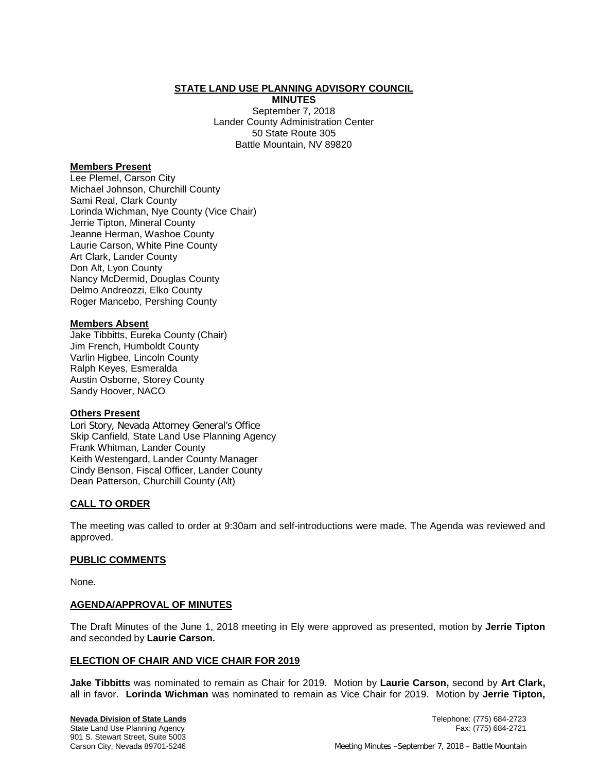## **STATE LAND USE PLANNING ADVISORY COUNCIL**

**MINUTES** September 7, 2018 Lander County Administration Center 50 State Route 305 Battle Mountain, NV 89820

## **Members Present**

Lee Plemel, Carson City Michael Johnson, Churchill County Sami Real, Clark County Lorinda Wichman, Nye County (Vice Chair) Jerrie Tipton, Mineral County Jeanne Herman, Washoe County Laurie Carson, White Pine County Art Clark, Lander County Don Alt, Lyon County Nancy McDermid, Douglas County Delmo Andreozzi, Elko County Roger Mancebo, Pershing County

### **Members Absent**

Jake Tibbitts, Eureka County (Chair) Jim French, Humboldt County Varlin Higbee, Lincoln County Ralph Keyes, Esmeralda Austin Osborne, Storey County Sandy Hoover, NACO

### **Others Present**

Lori Story, Nevada Attorney General's Office Skip Canfield, State Land Use Planning Agency Frank Whitman, Lander County Keith Westengard, Lander County Manager Cindy Benson, Fiscal Officer, Lander County Dean Patterson, Churchill County (Alt)

# **CALL TO ORDER**

The meeting was called to order at 9:30am and self-introductions were made. The Agenda was reviewed and approved.

### **PUBLIC COMMENTS**

None.

### **AGENDA/APPROVAL OF MINUTES**

The Draft Minutes of the June 1, 2018 meeting in Ely were approved as presented, motion by **Jerrie Tipton** and seconded by **Laurie Carson.**

### **ELECTION OF CHAIR AND VICE CHAIR FOR 2019**

**Jake Tibbitts** was nominated to remain as Chair for 2019. Motion by **Laurie Carson,** second by **Art Clark,** all in favor. **Lorinda Wichman** was nominated to remain as Vice Chair for 2019. Motion by **Jerrie Tipton,**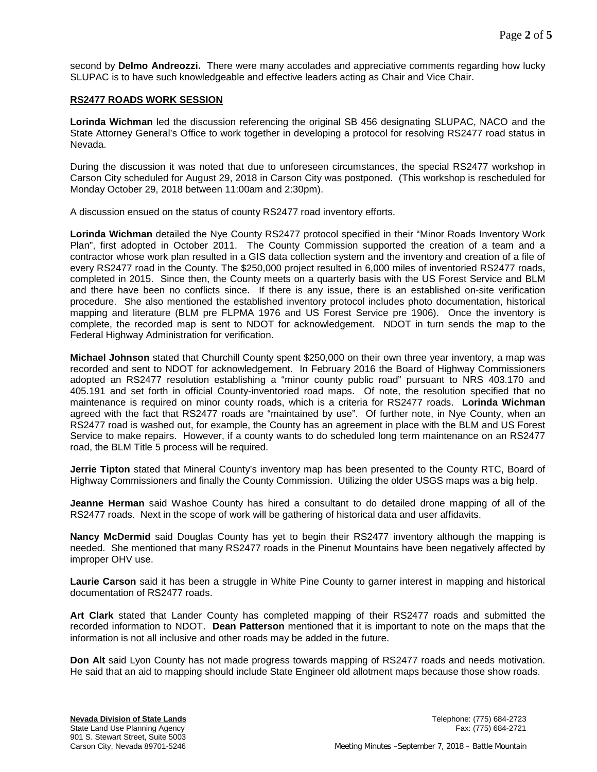second by **Delmo Andreozzi.** There were many accolades and appreciative comments regarding how lucky SLUPAC is to have such knowledgeable and effective leaders acting as Chair and Vice Chair.

#### **RS2477 ROADS WORK SESSION**

**Lorinda Wichman** led the discussion referencing the original SB 456 designating SLUPAC, NACO and the State Attorney General's Office to work together in developing a protocol for resolving RS2477 road status in Nevada.

During the discussion it was noted that due to unforeseen circumstances, the special RS2477 workshop in Carson City scheduled for August 29, 2018 in Carson City was postponed. (This workshop is rescheduled for Monday October 29, 2018 between 11:00am and 2:30pm).

A discussion ensued on the status of county RS2477 road inventory efforts.

**Lorinda Wichman** detailed the Nye County RS2477 protocol specified in their "Minor Roads Inventory Work Plan", first adopted in October 2011. The County Commission supported the creation of a team and a contractor whose work plan resulted in a GIS data collection system and the inventory and creation of a file of every RS2477 road in the County. The \$250,000 project resulted in 6,000 miles of inventoried RS2477 roads, completed in 2015. Since then, the County meets on a quarterly basis with the US Forest Service and BLM and there have been no conflicts since. If there is any issue, there is an established on-site verification procedure. She also mentioned the established inventory protocol includes photo documentation, historical mapping and literature (BLM pre FLPMA 1976 and US Forest Service pre 1906). Once the inventory is complete, the recorded map is sent to NDOT for acknowledgement. NDOT in turn sends the map to the Federal Highway Administration for verification.

**Michael Johnson** stated that Churchill County spent \$250,000 on their own three year inventory, a map was recorded and sent to NDOT for acknowledgement. In February 2016 the Board of Highway Commissioners adopted an RS2477 resolution establishing a "minor county public road" pursuant to NRS 403.170 and 405.191 and set forth in official County-inventoried road maps. Of note, the resolution specified that no maintenance is required on minor county roads, which is a criteria for RS2477 roads. **Lorinda Wichman**  agreed with the fact that RS2477 roads are "maintained by use". Of further note, in Nye County, when an RS2477 road is washed out, for example, the County has an agreement in place with the BLM and US Forest Service to make repairs. However, if a county wants to do scheduled long term maintenance on an RS2477 road, the BLM Title 5 process will be required.

**Jerrie Tipton** stated that Mineral County's inventory map has been presented to the County RTC, Board of Highway Commissioners and finally the County Commission. Utilizing the older USGS maps was a big help.

**Jeanne Herman** said Washoe County has hired a consultant to do detailed drone mapping of all of the RS2477 roads. Next in the scope of work will be gathering of historical data and user affidavits.

**Nancy McDermid** said Douglas County has yet to begin their RS2477 inventory although the mapping is needed. She mentioned that many RS2477 roads in the Pinenut Mountains have been negatively affected by improper OHV use.

**Laurie Carson** said it has been a struggle in White Pine County to garner interest in mapping and historical documentation of RS2477 roads.

**Art Clark** stated that Lander County has completed mapping of their RS2477 roads and submitted the recorded information to NDOT. **Dean Patterson** mentioned that it is important to note on the maps that the information is not all inclusive and other roads may be added in the future.

**Don Alt** said Lyon County has not made progress towards mapping of RS2477 roads and needs motivation. He said that an aid to mapping should include State Engineer old allotment maps because those show roads.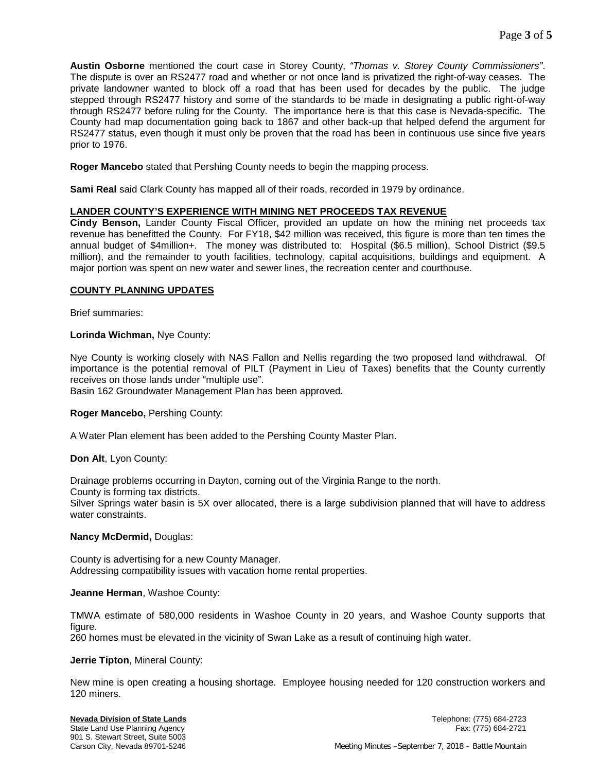**Austin Osborne** mentioned the court case in Storey County, *"Thomas v. Storey County Commissioners"*. The dispute is over an RS2477 road and whether or not once land is privatized the right-of-way ceases. The private landowner wanted to block off a road that has been used for decades by the public. The judge stepped through RS2477 history and some of the standards to be made in designating a public right-of-way through RS2477 before ruling for the County. The importance here is that this case is Nevada-specific. The County had map documentation going back to 1867 and other back-up that helped defend the argument for RS2477 status, even though it must only be proven that the road has been in continuous use since five years prior to 1976.

**Roger Mancebo** stated that Pershing County needs to begin the mapping process.

**Sami Real** said Clark County has mapped all of their roads, recorded in 1979 by ordinance.

# **LANDER COUNTY'S EXPERIENCE WITH MINING NET PROCEEDS TAX REVENUE**

**Cindy Benson,** Lander County Fiscal Officer, provided an update on how the mining net proceeds tax revenue has benefitted the County. For FY18, \$42 million was received, this figure is more than ten times the annual budget of \$4million+. The money was distributed to: Hospital (\$6.5 million), School District (\$9.5 million), and the remainder to youth facilities, technology, capital acquisitions, buildings and equipment. A major portion was spent on new water and sewer lines, the recreation center and courthouse.

# **COUNTY PLANNING UPDATES**

Brief summaries:

# **Lorinda Wichman,** Nye County:

Nye County is working closely with NAS Fallon and Nellis regarding the two proposed land withdrawal. Of importance is the potential removal of PILT (Payment in Lieu of Taxes) benefits that the County currently receives on those lands under "multiple use".

Basin 162 Groundwater Management Plan has been approved.

### **Roger Mancebo,** Pershing County:

A Water Plan element has been added to the Pershing County Master Plan.

### **Don Alt**, Lyon County:

Drainage problems occurring in Dayton, coming out of the Virginia Range to the north.

County is forming tax districts.

Silver Springs water basin is 5X over allocated, there is a large subdivision planned that will have to address water constraints.

### **Nancy McDermid,** Douglas:

County is advertising for a new County Manager. Addressing compatibility issues with vacation home rental properties.

### **Jeanne Herman**, Washoe County:

TMWA estimate of 580,000 residents in Washoe County in 20 years, and Washoe County supports that figure.

260 homes must be elevated in the vicinity of Swan Lake as a result of continuing high water.

### **Jerrie Tipton**, Mineral County:

New mine is open creating a housing shortage. Employee housing needed for 120 construction workers and 120 miners.

State Land Use Planning Agency 901 S. Stewart Street, Suite 5003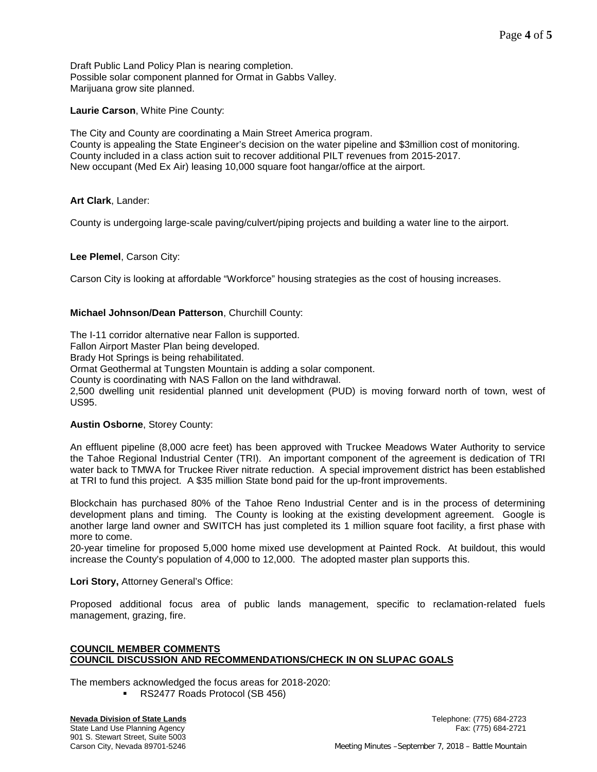Draft Public Land Policy Plan is nearing completion. Possible solar component planned for Ormat in Gabbs Valley. Marijuana grow site planned.

**Laurie Carson**, White Pine County:

The City and County are coordinating a Main Street America program. County is appealing the State Engineer's decision on the water pipeline and \$3million cost of monitoring. County included in a class action suit to recover additional PILT revenues from 2015-2017. New occupant (Med Ex Air) leasing 10,000 square foot hangar/office at the airport.

**Art Clark**, Lander:

County is undergoing large-scale paving/culvert/piping projects and building a water line to the airport.

**Lee Plemel**, Carson City:

Carson City is looking at affordable "Workforce" housing strategies as the cost of housing increases.

# **Michael Johnson/Dean Patterson**, Churchill County:

The I-11 corridor alternative near Fallon is supported.

Fallon Airport Master Plan being developed.

Brady Hot Springs is being rehabilitated.

Ormat Geothermal at Tungsten Mountain is adding a solar component.

County is coordinating with NAS Fallon on the land withdrawal.

2,500 dwelling unit residential planned unit development (PUD) is moving forward north of town, west of US95.

### **Austin Osborne**, Storey County:

An effluent pipeline (8,000 acre feet) has been approved with Truckee Meadows Water Authority to service the Tahoe Regional Industrial Center (TRI). An important component of the agreement is dedication of TRI water back to TMWA for Truckee River nitrate reduction. A special improvement district has been established at TRI to fund this project. A \$35 million State bond paid for the up-front improvements.

Blockchain has purchased 80% of the Tahoe Reno Industrial Center and is in the process of determining development plans and timing. The County is looking at the existing development agreement. Google is another large land owner and SWITCH has just completed its 1 million square foot facility, a first phase with more to come.

20-year timeline for proposed 5,000 home mixed use development at Painted Rock. At buildout, this would increase the County's population of 4,000 to 12,000. The adopted master plan supports this.

**Lori Story,** Attorney General's Office:

Proposed additional focus area of public lands management, specific to reclamation-related fuels management, grazing, fire.

## **COUNCIL MEMBER COMMENTS COUNCIL DISCUSSION AND RECOMMENDATIONS/CHECK IN ON SLUPAC GOALS**

The members acknowledged the focus areas for 2018-2020:

RS2477 Roads Protocol (SB 456)

State Land Use Planning Agency 901 S. Stewart Street, Suite 5003

**Nevada Division of State Lands** Telephone: (775) 684-2723